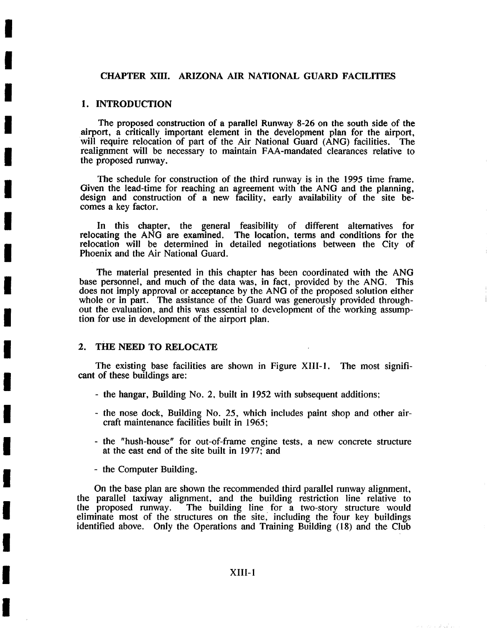#### CHAPTER XIII. ARIZONA AIR NATIONAL GUARD FACILITIES

#### 1. INTRODUCTION

**I** 

**I** 

**I** 

**I** 

**I** 

**I** 

**I** 

**I** 

**I** 

**I** 

**I** 

**I** 

**I** 

**I** 

**I** 

**I** 

**I** 

The proposed construction of a parallel Runway 8-26 on the south side of the airport, a critically important element in the development plan for the airport, will require relocation of part of the Air National Guard (ANG) facilities. The realignment will be necessary to maintain FAA-mandated clearances relative to the proposed runway.

The schedule for construction of the third runway is in the 1995 time frame. Given the lead-time for reaching an agreement with the ANG and the planning. design and construction of a new facility, early availability of the site becomes a key factor.

In this chapter, the general feasibility of different altematives for relocating the ANG are examined. The location, terms and conditions for the relocation will be determined in detailed negotiations between the City of Phoenix and the Air National Guard.

The material presented in this chapter has been coordinated with the ANG base personnel, and much of the data was, in fact, provided by the ANG. This does not imply approval or acceptance by the ANG of the proposed solution either whole or in part. The assistance of the Guard was generously provided throughout the evaluation, and this was essential to development of the working assumption for use in development of the airport plan.

#### 2. THE NEED TO RELOCATE

The existing base facilities are shown in Figure XIII-I. The most significant of these buildings are:

- the hangar, Building No. 2, built in 1952 with subsequent additions;
- the nose dock, Building No. 25, which includes paint shop and other aircraft maintenance facilities built in 1965;
- the "hush-house" for out-of-frame engine tests, a new concrete structure at the east end of the site built in 1977; and

- the Computer Building.

On the base plan are shown the recommended third parallel runway alignment, the parallel taxiway alignment, and the building restriction line relative to the proposed runway. The building line for a two-story structure would The building line for a two-story structure would eliminate most of the structures on the site, including the four key buildings identified above. Only the Operations and Training Building (18) and the Club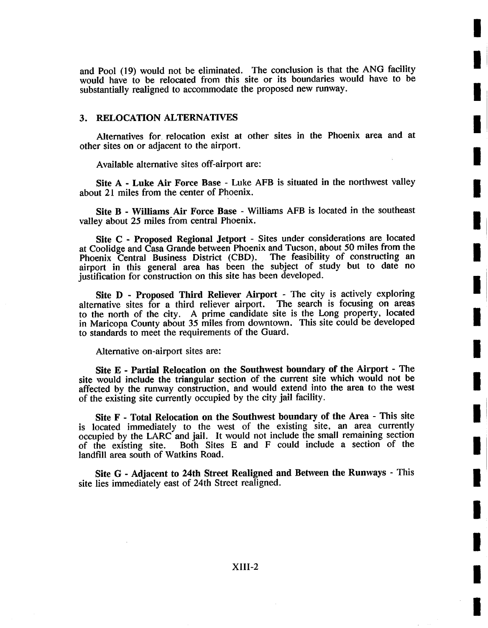and Pool (19) would not be eliminated. The conclusion is that the ANG facility would have to be relocated from this site or its boundaries would have to be substantially realigned to accommodate the proposed new runway.

**i** 

**I** 

**I** 

**i** 

**I** 

**I** 

**!** 

**I** 

**I** 

**I** 

**I** 

**I** 

**I** 

**I** 

**I** 

**I** 

**I** 

**I** 

#### 3. RELOCATION ALTERNATIVES

Alternatives for relocation exist at other sites in the Phoenix area and at other sites on or adjacent to the airport.

Available alternative sites off-airport are:

Site **A -** Luke Air Force Base - Luke AFB is situated in the northwest valley about 21 miles from the center of Phoenix.

Site B - Williams Air Force Base - Williams AFB is located in the southeast valley about 25 miles from central Phoenix.

Site C - Proposed Regional Jetport - Sites under considerations are located at Coolidge and Casa Grande between Phoenix and Tucson, about 50 miles from the Phoenix Central Business District (CBD). The feasibility of constructing an airport in this general area has been the subject of study but to date no justification for construction on this site has been developed.

Site **D** - **Proposed Third Reliever Airport** - The city is actively exploring mative sites for a third reliever airport. The search is focusing on areas alternative sites for a third reliever airport. to the north of the city. A prime candidate site is the Long property, located in Maricopa County about 35 miles from downtown. This site could be developed to standards to meet the requirements of the Guard.

Alternative on-airport sites are:

Site E - Partial Relocation on the Southwest boundary of the Airport - The site would include the triangular section of the current site which would not be affected by the runway construction, and would extend into the area to the west of the existing site currently occupied by the city jail facility.

Site F - Total Relocation on the Southwest **boundary of** the Area **-** This site is located immediately to the west of the existing site, an area currently occupied by the LARC and jail. It would not include the small remaining section of the existing site. Both Sites E and F could include a section of the landfill area south of Watkins Road.

Site G - Adjacent to 24th Street Realigned and Between the Runways - This site lies immediately east of 24th Street realigned.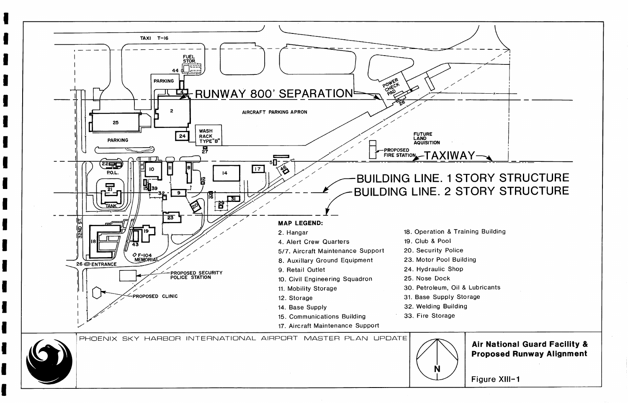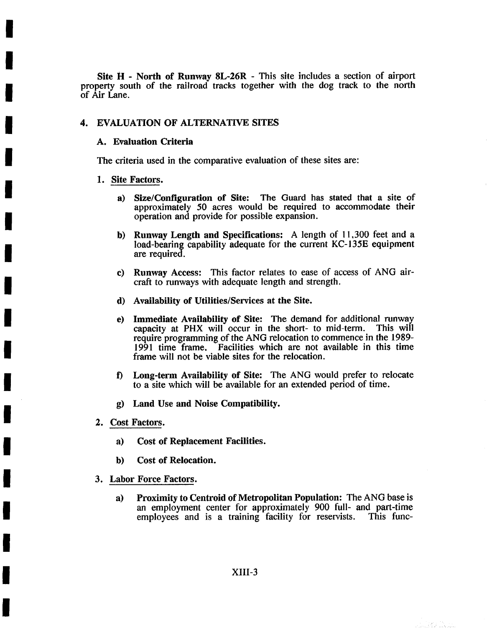Site H - North of Runway 8L-26R - This site includes a section of airport property south of the railroad tracks together with the dog track to the north of Air Lane.

## 4. EVALUATION OF ALTERNATIVE SITES

#### **A. Evaluation Criteria**

The criteria used in the comparative evaluation of these sites are:

### 1. Site Factors.

**I** 

**I** 

**!** 

**I** 

**I** 

**I** 

**I** 

**I** 

**i** 

**I** 

**I** 

**!** 

**l** 

**I** 

**!** 

**I** 

**i** 

**!** 

**I** 

- **a) Size/Configuration of** Site: The Guard has stated that a site of approximately 50 acres would be required to accommodate their operation and provide for possible expansion.
- **b)**  Runway Length and Specifications: A length of 11,300 feet and a load-bearing capability adequate for the current KC-135E equipment are required.
- c) Runway Access: This factor relates to ease of access of ANG aircraft to runways with adequate length and strength.
- d) Availability of Utilities/Services at the Site.
- **e) Immediate Availability of** Site: The demand for additional runway capacity at PHX will occur in the short- to mid-term. require programming of the ANG relocation to commence in the 1989- 1991 time frame. Facilities which are not available in this time frame will not be viable sites for the relocation.
- f) Long-term Availability of Site: The ANG would prefer to relocate to a site which will be available for an extended period of time.
- g) Land Use and Noise Compatibility.
- 2. Cost Factors.
	- **a) Cost of Replacement Facilities.**
	- **b) Cost of Relocation.**
- 3. Labor Force Factors.
	- **a)** Proximity to Centroid of Metropolitan Population: The ANG base is an employment center for approximately 900 full- and part-time employees and is a training facility for reservists. This funcemployees and is a training facility for reservists.

التيابية فكالمناد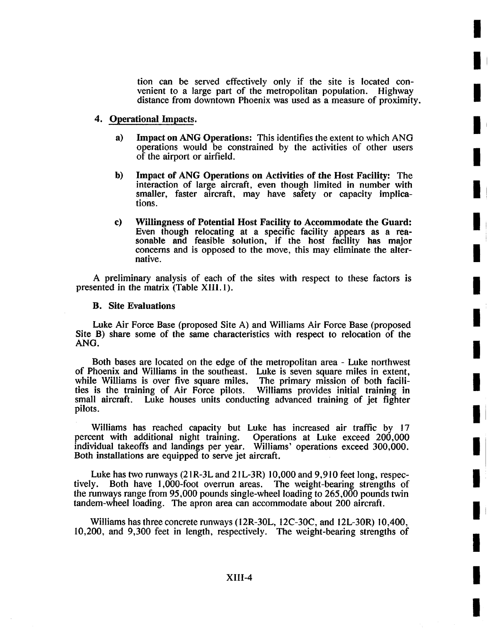tion can be served effectively only if the site is located convenient to a large part of the metropolitan population. Highway distance from downtown Phoenix was used as a measure of proximity. **I** 

**I** 

**I** 

**I** 

**I** 

**I** 

**I** 

**I** 

**I** 

**I** 

**I** 

**I** 

**li** 

**I** 

**I** 

**I** 

**I** 

**I** 

**I** 

#### **4. Operational Impacts.**

- **a)** Impact on ANG Operations: This identifies the extent to which ANG operations would be constrained by the activities of other users of the airport or airfield.
- **b)** Impact of ANG Operations on Activities of the Host Facility: The interaction of large aircraft, even though limited in number with smaller, faster aircraft, may have safety or capacity implications.
- **c)** Willingness of Potential Host Facility **to Accommodate the Guard:**  Even though relocating at a specific facility appears as a reasonable and feasible solution, if the host facility has major concerns and is opposed to the move, this may eliminate the alternative.

A preliminary analysis of each of the sites with respect to these factors is presented in the matrix (Table XIII. I).

#### **B. Site Evaluations**

Luke Air Force Base (proposed Site A) and Williams Air Force Base (proposed Site B) share some of the same characteristics with respect to relocation of the ANG.

Both bases are located on the edge of the metropolitan area - Luke northwest of Phoenix and Williams in the southeast. Luke is seven square miles in extent, while Williams is over five square miles. The primary mission of both facilities is the training of Air Force pilots. Williams provides initial training in ties is the training of Air Force pilots. small aircraft. Luke houses units conducting advanced training of jet fighter pilots.

Williams has reached capacity but Luke has increased air traffic by 17 ent with additional night training. Operations at Luke exceed 200,000 percent with additional night training. individual takeoffs and landings per year. Williams' operations exceed 300,000. Both installations are equipped to serve jet aircraft.

Luke has two runways (21R-3L and 21L-3R) 10,000 and 9,910 feet long, respectively. Both have 1,000-foot overrun areas. The weight-bearing strengths of the runways range from 95,000 pounds single-wheel loading to 265,000 pounds twin tandem-wheel loading. The apron area can accommodate about 200 aircraft.

Williams has three concrete runways (12R-30L, 12C-30C, and 12L-30R) 10,400, 10,200, and 9,300 feet in length, respectively. The weight-bearing strengths of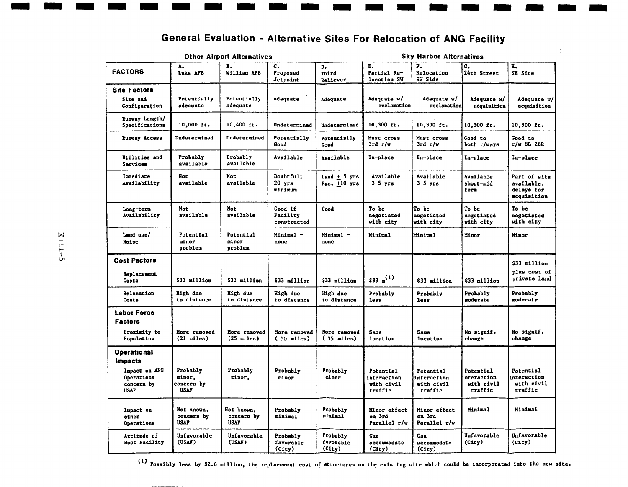|                                                                                                                 | Other Airport Alternatives                                                  |                                                |                                          |                                          | Sky Harbor Alternatives                                                     |                                                                             |                                                              |                                                              |
|-----------------------------------------------------------------------------------------------------------------|-----------------------------------------------------------------------------|------------------------------------------------|------------------------------------------|------------------------------------------|-----------------------------------------------------------------------------|-----------------------------------------------------------------------------|--------------------------------------------------------------|--------------------------------------------------------------|
| <b>FACTORS</b>                                                                                                  | ۸.<br>Luke AFB                                                              | в.<br>William AFB                              | $c_{\bullet}$<br>Proposed<br>Jetpoint    | D.<br>Third<br>Reliever                  | Е.<br>Partial Re-<br>location SW                                            | $\mathbf{F}$ .<br>Relocation<br>SW Side                                     | G.<br>24th Street                                            | н.<br>NE Site                                                |
| <b>Site Factors</b><br>Size and<br>Configuration                                                                | Potentially<br>adequate                                                     | Potentially<br>adequate                        | Adequate                                 | Adequate                                 | Adequate w/<br>reclamation                                                  | Adequate w/<br>reclamation                                                  | Adequate w/<br>acquisition                                   | Adequate w/<br>acquisition                                   |
| Runway Length/<br>Specifications                                                                                | 10,000 ft.                                                                  | 10,400 ft.                                     | Undetermined                             | Undetermined                             | 10,300 ft.                                                                  | 10,300 ft.                                                                  | 10,300 ft.                                                   | 10,300 ft.                                                   |
| Runway Access                                                                                                   | Undetermined                                                                | Undetermined                                   | Potentially<br>Good                      | Potentially<br>Good                      | Must cross<br>$3rd$ $r/v$                                                   | Must cross<br>$3rd$ $r/w$                                                   | Good to<br>both r/ways                                       | Good to<br>$r/w$ 8L-26R                                      |
| Utilities and<br>Services                                                                                       | Probably<br>available                                                       | Probably<br>available                          | Available                                | Available                                | In-place                                                                    | In-place                                                                    | In-place                                                     | In-place                                                     |
| Immediate<br>Availability                                                                                       | Not<br>available                                                            | Not<br>available                               | Doubtful:<br>$20$ yrs<br>minimum         | $Land + 5 yrs$<br>Fac. $+10$ yrs         | Available<br>3-5 угв                                                        | Available<br>$3-5$ yrs                                                      | Available<br>short-mid<br>tern                               | Part of site<br>available,<br>delays for<br>acquisition      |
| Long-term<br>Availability                                                                                       | <b>Not</b><br>available                                                     | Not<br>available                               | Good if<br>Facility<br>constructed       | Good                                     | To be<br>negotiated<br>with city                                            | To be<br>negotiated<br>with city                                            | To be<br>negotiated<br>with city                             | To be<br>negotiated<br>with city                             |
| Land use/<br>Noise                                                                                              | Potential<br>minor<br>problem                                               | Potential<br>minor<br>problem                  | Minimal -<br>none                        | Minimal -<br>none                        | Minimal                                                                     | Minimal                                                                     | Minor                                                        | <b>Minor</b>                                                 |
| <b>Cost Factors</b><br>Replacement<br>Costs                                                                     | 533 million                                                                 | $$33$ million                                  | \$33 million                             | \$33 million                             | $$33 \text{ m}^{(1)}$$                                                      | \$33 million                                                                | \$33 million                                                 | $$33$ million<br>plus cost of<br>private land                |
| Relocation<br>Costs                                                                                             | High due<br>to distance                                                     | High due<br>to distance                        | High due<br>to distance                  | High due<br>to distance                  | Probably<br><b>less</b>                                                     | Probably<br>less                                                            | Probably<br>moderate                                         | Probably<br>moderate                                         |
| <b>Labor Force</b><br><b>Factors</b><br>Proximity to<br>Population                                              | More removed<br>$(21$ miles)                                                | More removed<br>$(25 \text{ miles})$           | More removed<br>$(50$ miles)             | More removed<br>(35 m11e8)               | Same<br>location                                                            | Same<br>location                                                            | No signif.<br>change                                         | No signif.<br>change                                         |
| <b>Operational</b><br>Impacts<br>Impact on ANG<br>Operations<br>concern by<br><b>USAF</b><br>Impact on<br>other | Probably<br>minor.<br>concern by<br><b>USAF</b><br>Not known,<br>concern by | Probably<br>minor.<br>Not known,<br>concern by | Probably<br>minor<br>Probably<br>minimal | Probably<br>ainor<br>Probably<br>pininal | Potential<br>interaction<br>with civil<br>traffic<br>Minor effect<br>on 3rd | Potential<br>interaction<br>with civil<br>traffic<br>Minor effect<br>on 3rd | Potential<br>interaction<br>with civil<br>traffic<br>Minimal | Potential<br>interaction<br>with civil<br>traffic<br>Minimal |
| Operations<br>Attitude of<br>Host Facility                                                                      | <b>USAF</b><br>Unfavorable<br>(USAF)                                        | <b>USAF</b><br>Unfavorable<br>(USAF)           | Probably<br>favorable<br>(City)          | Probably<br>favorable<br>(City)          | Parallel r/w<br>Can<br>accommodate<br>(City)                                | Parallel r/w<br>Can<br>accommodate<br>(City)                                | Unfavorable<br>(City)                                        | Unfavorable<br>(City)                                        |

# **General Evaluation - Alternative Sites For Relocation of ANG Facility**

 $\sim$   $\sim$ 

**Sales State** 

**n mmm m n m mm m m m m m m m m mmm m m m m** 

(1) Possibly less by \$2.6 million, the replacement cost of structures on the existing site which could be incorporated into the new site.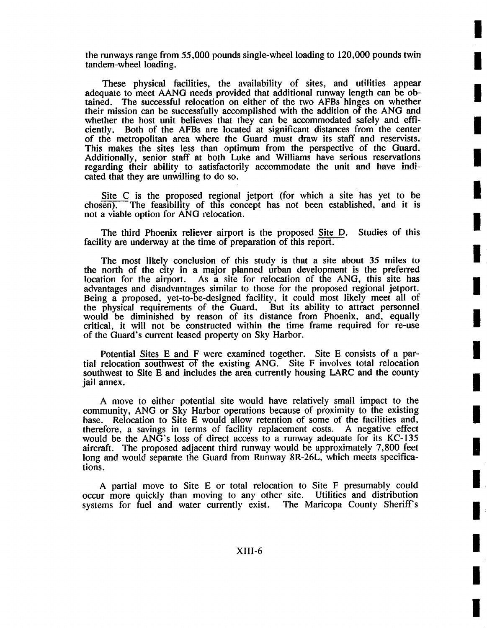the runways range from 55,000 pounds single-wheel loading to 120,000 pounds twin tandem-wheel loading.

**!** 

**I** 

**!** 

**I** 

**I** 

**!** 

**!** 

**I** 

**I** 

**I** 

**I** 

**!** 

**!** 

**I** 

**i** 

**I** 

**I** 

**i** 

**i** 

These physical facilities, the availability of sites, and utilities appear adequate to meet AANG needs provided that additional runway length can be obtained. The successful relocation on either of the two AFBs hinges on whether their mission can be successfully accomplished with the addition of the ANG and whether the host unit believes that they can be accommodated safely and efficiently. Both of the AFBs are located at significant distances from the center of the metropolitan area where the Guard must draw its staff and reservists. This makes the sites less than optimum from the perspective of the Guard. Additionally, senior staff at both Luke and Williams have serious reservations regarding their ability to satisfactorily accommodate the unit and have indicated that they are unwilling to do so.

Site C is the proposed regional jetport (for which a site has yet to be chosefi). The feasibility of this concept has not been established, and it is not a viable option for ANG relocation.

The third Phoenix reliever airport is the proposed Site D. Studies of this facility are underway at the time of preparation of this report.

The most likely conclusion of this study is that a site about 35 miles to the north of the city in a major planned urban development is the preferred location for the airport. As a site for relocation of the ANG, this site has As a site for relocation of the ANG, this site has advantages and disadvantages similar to those for the proposed regional jetport. Being a proposed, yet-to-be-designed facility, it could most likely meet all of the physical requirements of the Guard. But its ability to attract personnel the physical requirements of the Guard. would be diminished by reason of its distance from Phoenix, and, equally critical, it will not be constructed within the time frame required for re-use of the Guard's current leased property on Sky Harbor.

Potential Sites E and F were examined together. Site E consists of a partial relocation southwest of the existing ANG. Site F involves total relocation southwest to Site E and includes the area currently housing LARC and the county jail annex.

A move to either potential site would have relatively small impact to the community, ANG or Sky Harbor operations because of proximity to the existing base. Relocation to Site E would allow retention of some of the facilities and, therefore, a savings in terms of facility replacement costs. A negative effect would be the ANG's loss of direct access to a runway adequate for its KC-135 aircraft. The proposed adjacent third runway would be approximately 7,800 feet long and would separate the Guard from Runway 8R-26L, which meets specifications.

A partial move to Site E or total relocation to Site F presumably could occur more quickly than moving to any other site. Utilities and distribution systems for fuel and water currently exist. The Maricopa County Sheriff's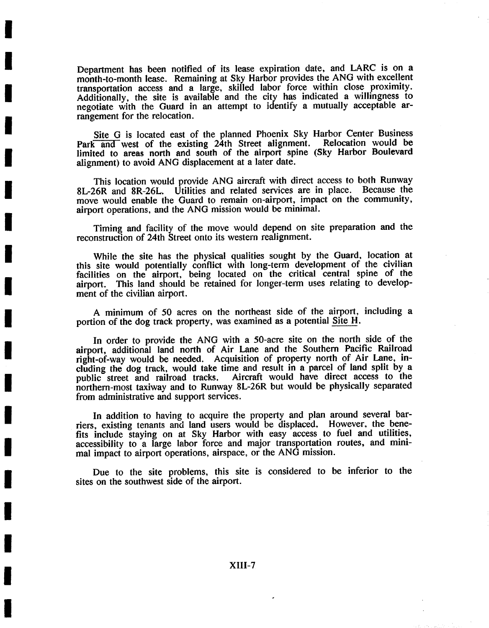Department has been notified of its lease expiration date, and LARC is on a month-to-month lease. Remaining at Sky Harbor provides the ANG with excellent transportation access and a large, skilled labor force within close proximity. Additionally, the site is available and the city has indicated a willingness to negotiate with the Guard in an attempt to identify a mutually acceptable arrangement for the relocation.

**I** 

**I** 

**I** 

**I** 

**I** 

**I** 

**I** 

**I** 

**I** 

**I** 

**I** 

**I** 

**I** 

**I** 

**I** 

**I** 

**I** 

**I** 

Site G is located east of the planned Phoenix Sky Harbor Center Business Park and west of the existing 24th Street alignment. Relocation would be limited to areas north and south of the airport spine (Sky Harbor Boulevard alignment) to avoid ANG displacement at a later date.

This location would provide ANG aircraft with direct access to both Runway 8L-26R and 8R-26L. Utilities and related services are in place. Because the move would enable the Guard to remain on-airport, impact on the community, airport operations, and the ANG mission would be minimal.

Timing and facility of the move would depend on site preparation and the reconstruction of 24th Street onto its western realignment.

While the site has the physical qualities sought by the Guard, location at this site would potentially conflict with long-term development of the civilian facilities on the airport, being located on the critical central spine of the airport. This land should be retained for longer-term uses relating to development of the civilian airport.

A minimum of 50 acres on the northeast side of the airport, including a portion of the dog track property, was examined as a potential Site H.

In order to provide the ANG with a 50-acre site on the north side of the airport, additional land north of Air Lane and the Southern Pacific Railroad fight-of-way would be needed. Acquisition of property north of Air Lane, ineluding the dog track, would take time and result in a parcel of land split by a public street and railroad tracks. Aircraft would have direct access to the northern-most taxiway and to Runway 8L-26R but would be physically separated from administrative and support services.

In addition to having to acquire the property and plan around several barriers, existing tenants and land users would be displaced. However, the benefits include staying on at Sky Harbor with easy access to fuel and utilities, accessibility to a large labor force and major transportation routes, and minimal impact to airport operations, airspace, or the ANG mission.

Due to the site problems, this site is considered to be inferior to the sites on the southwest side of the airport.